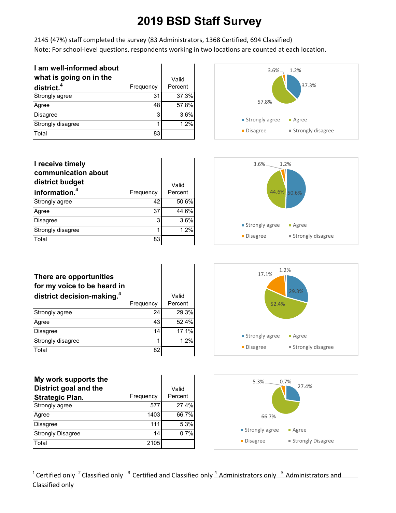2145 (47%) staff completed the survey (83 Administrators, 1368 Certified, 694 Classified) Note: For school-level questions, respondents working in two locations are counted at each location.

| I am well-informed about |           |         |
|--------------------------|-----------|---------|
| what is going on in the  |           | Valid   |
| district. <sup>4</sup>   | Frequency | Percent |
| Strongly agree           | 31        | 37.3%   |
| Agree                    | 48        | 57.8%   |
| <b>Disagree</b>          | 3         | 3.6%    |
| Strongly disagree        | 1         | 1.2%    |
| Total                    | 83        |         |



| I receive timely<br>communication about<br>district budget |           | Valid   |
|------------------------------------------------------------|-----------|---------|
| information. <sup>4</sup>                                  | Frequency | Percent |
| Strongly agree                                             | 42        | 50.6%   |
| Agree                                                      | 37        | 44.6%   |
| <b>Disagree</b>                                            | 3         | 3.6%    |
| Strongly disagree                                          | 1         | 1.2%    |
| Total                                                      | 83        |         |



| There are opportunities<br>for my voice to be heard in<br>district decision-making. <sup>4</sup> | Frequency | Valid<br>Percent |
|--------------------------------------------------------------------------------------------------|-----------|------------------|
| Strongly agree                                                                                   | 24        | 29.3%            |
| Agree                                                                                            | 43        | 52.4%            |
| Disagree                                                                                         | 14        | 17.1%            |
| Strongly disagree                                                                                | 1         | 1.2%             |
| Total                                                                                            | 82        |                  |

| My work supports the     |           |         |
|--------------------------|-----------|---------|
| District goal and the    |           | Valid   |
| <b>Strategic Plan.</b>   | Frequency | Percent |
| Strongly agree           | 577       | 27.4%   |
| Agree                    | 1403      | 66.7%   |
| <b>Disagree</b>          | 111       | 5.3%    |
| <b>Strongly Disagree</b> | 14        | 0.7%    |
| Total                    | 2105      |         |



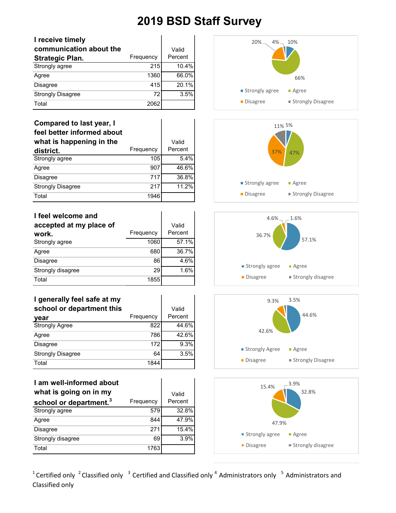| I receive timely         |           |         |
|--------------------------|-----------|---------|
| communication about the  |           | Valid   |
| <b>Strategic Plan.</b>   | Frequency | Percent |
| Strongly agree           | 215       | 10.4%   |
| Agree                    | 1360      | 66.0%   |
| <b>Disagree</b>          | 415       | 20.1%   |
| <b>Strongly Disagree</b> | 72        | 3.5%    |
| Total                    | 2062      |         |

#### **Compared to last year, I**

| feel better informed about |           |          |
|----------------------------|-----------|----------|
| what is happening in the   |           | Valid    |
| district.                  | Frequency | Percent  |
| Strongly agree             | 105       | 5.4%     |
| Agree                      | 907       | 46.6%    |
| <b>Disagree</b>            | 717       | 36.8%    |
| <b>Strongly Disagree</b>   | 217       | $11.2\%$ |
| Total                      | 1946      |          |

| I feel welcome and      |           |         |
|-------------------------|-----------|---------|
| accepted at my place of |           | Valid   |
| work.                   | Frequency | Percent |
| Strongly agree          | 1060      | 57.1%   |
| Agree                   | 680       | 36.7%   |
| <b>Disagree</b>         | 86        | 4.6%    |
| Strongly disagree       | 29        | 1.6%    |
| Total                   | 1855      |         |

#### **I generally feel safe at my school or department this**

| vear                     | Frequency | Percent |
|--------------------------|-----------|---------|
| <b>Strongly Agree</b>    | 822       | 44.6%   |
| Agree                    | 786       | 42.6%   |
| Disagree                 | 172       | 9.3%    |
| <b>Strongly Disagree</b> | 64        | 3.5%    |
| Total                    | 1844      |         |

### **I am well-informed about**

| what is going on in my             |           | Valid   |
|------------------------------------|-----------|---------|
| school or department. <sup>3</sup> | Frequency | Percent |
| Strongly agree                     | 579       | 32.8%   |
| Agree                              | 844       | 47.9%   |
| <b>Disagree</b>                    | 271       | 15.4%   |
| Strongly disagree                  | 69        | 3.9%    |
| Total                              | 1763      |         |











<sup>1</sup> Certified only <sup>2</sup> Classified only <sup>3</sup> Certified and Classified only <sup>4</sup> Administrators only <sup>5</sup> Administrators and Classified only

Valid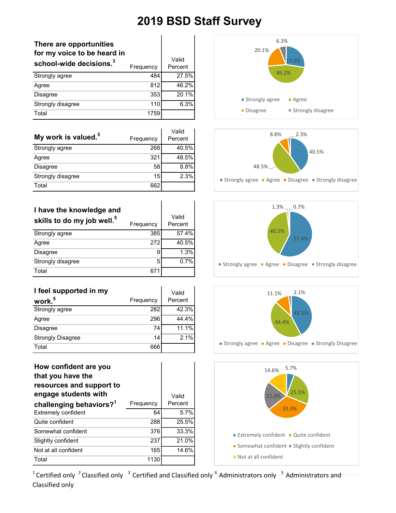| There are opportunities<br>for my voice to be heard in<br>school-wide decisions. <sup>3</sup> | Frequency | Valid<br>Percent |
|-----------------------------------------------------------------------------------------------|-----------|------------------|
| Strongly agree                                                                                | 484       | 27.5%            |
| Agree                                                                                         | 812       | 46.2%            |
| <b>Disagree</b>                                                                               | 353       | 20.1%            |
| Strongly disagree                                                                             | 110       | 6.3%             |
| Total                                                                                         | 1759      |                  |

|                                 |           | Valid   |
|---------------------------------|-----------|---------|
| My work is valued. <sup>5</sup> | Frequency | Percent |
| Strongly agree                  | 268       | 40.5%   |
| Agree                           | 321       | 48.5%   |
| <b>Disagree</b>                 | 58        | 8.8%    |
| Strongly disagree               | 15        | 2.3%    |
| Total                           | 662       |         |

| I have the knowledge and<br>skills to do my job well. <sup>5</sup> | Frequency | Valid<br>Percent |
|--------------------------------------------------------------------|-----------|------------------|
| Strongly agree                                                     | 385       | 57.4%            |
| Agree                                                              | 272       | 40.5%            |
| <b>Disagree</b>                                                    | 9         | 1.3%             |
| Strongly disagree                                                  | 5         | $0.7\%$          |
| Total                                                              | 671       |                  |

| I feel supported in my   |           | Valid   |
|--------------------------|-----------|---------|
| work. <sup>5</sup>       | Frequency | Percent |
| Strongly agree           | 282       | 42.3%   |
| Agree                    | 296       | 44.4%   |
| <b>Disagree</b>          | 74        | 11.1%   |
| <b>Strongly Disagree</b> | 14        | 2.1%    |
| Total                    | 666       |         |

| How confident are you<br>that you have the<br>resources and support to<br>engage students with |           | Valid   |
|------------------------------------------------------------------------------------------------|-----------|---------|
| challenging behaviors? <sup>1</sup>                                                            | Frequency | Percent |
| Extremely confident                                                                            | 64        | 5.7%    |
| Quite confident                                                                                | 288       | 25.5%   |
| Somewhat confident                                                                             | 376       | 33.3%   |
| Slightly confident                                                                             | 237       | 21.0%   |
| Not at all confident                                                                           | 165       | 14.6%   |
| Total                                                                                          | 1130      |         |









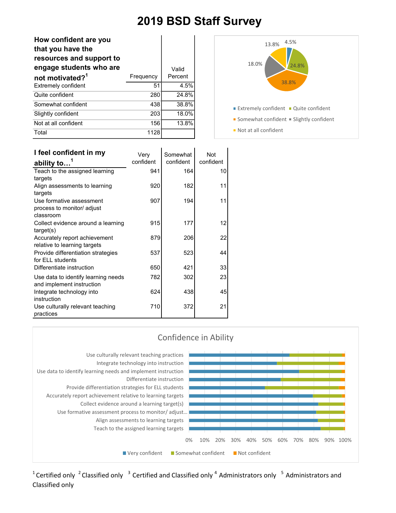| How confident are you<br>that you have the<br>resources and support to<br>engage students who are |           | Valid   |
|---------------------------------------------------------------------------------------------------|-----------|---------|
| not motivated? <sup>1</sup>                                                                       | Frequency | Percent |
| <b>Extremely confident</b>                                                                        | 51        | 4.5%    |
| Quite confident                                                                                   | 280       | 24.8%   |
| Somewhat confident                                                                                | 438       | 38.8%   |
| Slightly confident                                                                                | 203       | 18.0%   |
| Not at all confident                                                                              | 156       | 13.8%   |
| Total                                                                                             | 1128      |         |



| I feel confident in my              | Very      | Somewhat  | Not       |
|-------------------------------------|-----------|-----------|-----------|
| ability to $\overline{a}$           | confident | confident | confident |
| Teach to the assigned learning      | 941       | 164       | 10        |
| targets                             |           |           |           |
| Align assessments to learning       | 920       | 182       | 11        |
| targets                             |           |           |           |
| Use formative assessment            | 907       | 194       | 11        |
| process to monitor/ adjust          |           |           |           |
| classroom                           |           |           |           |
| Collect evidence around a learning  | 915       | 177       | 12        |
| target(s)                           |           |           |           |
| Accurately report achievement       | 879       | 206       | 22        |
| relative to learning targets        |           |           |           |
| Provide differentiation strategies  | 537       | 523       | 44        |
| for ELL students                    |           |           |           |
| Differentiate instruction           | 650       | 421       | 33        |
| Use data to identify learning needs | 782       | 302       | 23        |
| and implement instruction           |           |           |           |
| Integrate technology into           | 624       | 438       | 45        |
| instruction                         |           |           |           |
| Use culturally relevant teaching    | 710       | 372       | 21        |
| practices                           |           |           |           |

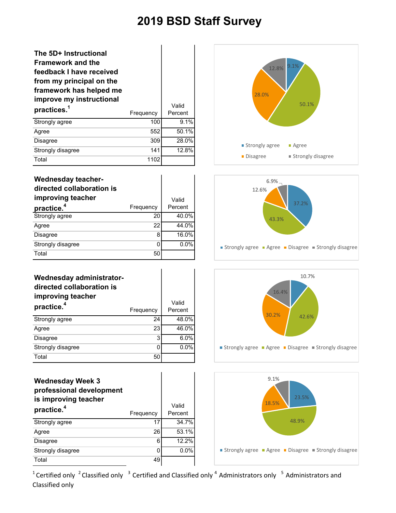Valid Percent

#### **The 5D+ Instructional Framework and the feedback I have received from my principal on the framework has helped me improve my instructional practices.<sup>1</sup>** Frequency Strongly agree 100 9.1% Agree 552 50.1% Disagree 309 28.0%

| Total                                                                                                 | 1102      |                  |
|-------------------------------------------------------------------------------------------------------|-----------|------------------|
| <b>Wednesday teacher-</b><br>directed collaboration is<br>improving teacher<br>practice. <sup>4</sup> | Frequency | Valid<br>Percent |
| Strongly agree                                                                                        | 20        | 40.0%            |
|                                                                                                       |           |                  |
| Agree                                                                                                 | 22        | 44.0%            |
| <b>Disagree</b>                                                                                       | 8         | 16.0%            |
| Strongly disagree                                                                                     | 0         | $0.0\%$          |
| Total                                                                                                 | 50        |                  |

Strongly disagree 141 12.8%

| Wednesday administrator-<br>directed collaboration is<br>improving teacher<br>practice. <sup>4</sup> | Frequency | Valid<br>Percent |
|------------------------------------------------------------------------------------------------------|-----------|------------------|
| Strongly agree                                                                                       | 24        | 48.0%            |
| Agree                                                                                                | 23        | 46.0%            |
| <b>Disagree</b>                                                                                      | 3         | 6.0%             |
| Strongly disagree                                                                                    | 0         | $0.0\%$          |
| Total                                                                                                | 50        |                  |

| <b>Wednesday Week 3</b><br>professional development<br>is improving teacher<br>practice. <sup>4</sup> | Frequency | Valid<br>Percent |
|-------------------------------------------------------------------------------------------------------|-----------|------------------|
| Strongly agree                                                                                        | 17        | 34.7%            |
| Agree                                                                                                 | 26        | 53.1%            |
| Disagree                                                                                              | 6         | 12.2%            |
| Strongly disagree                                                                                     | C         | $0.0\%$          |
| Total                                                                                                 | 49        |                  |







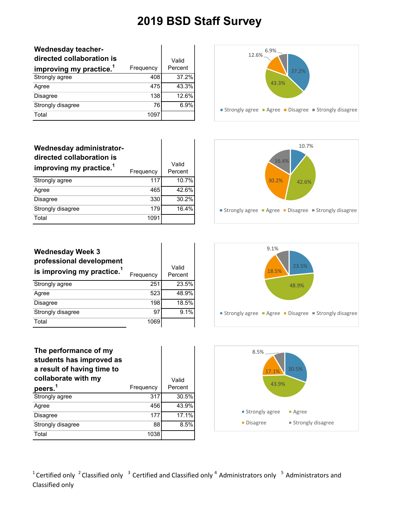| <b>Wednesday teacher-</b><br>directed collaboration is<br>improving my practice. <sup>1</sup> | Frequency | Valid<br>Percent |
|-----------------------------------------------------------------------------------------------|-----------|------------------|
| Strongly agree                                                                                | 408       | 37.2%            |
| Agree                                                                                         | 475       | 43.3%            |
| <b>Disagree</b>                                                                               | 138       | 12.6%            |
| Strongly disagree                                                                             | 76        | 6.9%             |
| Total                                                                                         | 1097      |                  |

| Wednesday administrator-<br>directed collaboration is<br>improving my practice. <sup>1</sup> | Frequency | Valid<br>Percent |
|----------------------------------------------------------------------------------------------|-----------|------------------|
| Strongly agree                                                                               | 117       | 10.7%            |
| Agree                                                                                        | 465       | 42.6%            |
| <b>Disagree</b>                                                                              | 330       | 30.2%            |
| Strongly disagree                                                                            | 179       | 16.4%            |
| Total                                                                                        | 1091      |                  |

| 6.9%<br>$12.6\%$<br>37.2%<br>43.3%                      |
|---------------------------------------------------------|
| ■ Strongly agree ■ Agree ■ Disagree ■ Strongly disagree |



| <b>Wednesday Week 3</b><br>professional development<br>is improving my practice. <sup>1</sup> | Frequency | Valid<br>Percent |
|-----------------------------------------------------------------------------------------------|-----------|------------------|
| Strongly agree                                                                                | 251       | 23.5%            |
| Agree                                                                                         | 523       | 48.9%            |
| <b>Disagree</b>                                                                               | 198       | 18.5%            |
| Strongly disagree                                                                             | 97        | 9.1%             |
| Total                                                                                         | 1069      |                  |





| The performance of my<br>students has improved as<br>a result of having time to<br>collaborate with my |           | Valid   |
|--------------------------------------------------------------------------------------------------------|-----------|---------|
| peers. <sup>1</sup>                                                                                    | Frequency | Percent |
| Strongly agree                                                                                         | 317       | 30.5%   |
| Agree                                                                                                  | 456       | 43.9%   |
| Disagree                                                                                               | 177       | 17.1%   |
| Strongly disagree                                                                                      | 88        | 8.5%    |
| Total                                                                                                  | 1038      |         |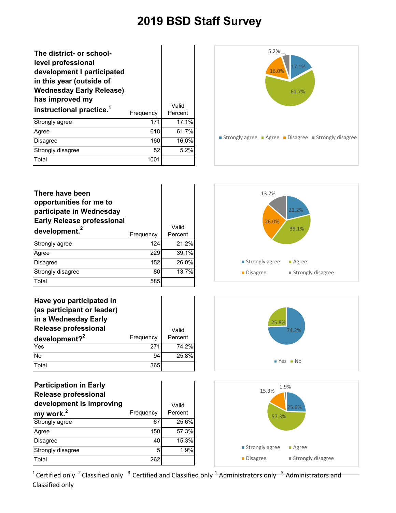| The district- or school-<br>level professional<br>development I participated<br>in this year (outside of<br><b>Wednesday Early Release)</b><br>has improved my<br>instructional practice. <sup>1</sup> | Frequency | Valid<br>Percent |
|--------------------------------------------------------------------------------------------------------------------------------------------------------------------------------------------------------|-----------|------------------|
| Strongly agree                                                                                                                                                                                         | 171       | 17.1%            |
| Agree                                                                                                                                                                                                  | 618       | 61.7%            |
| Disagree                                                                                                                                                                                               | 160       | 16.0%            |
| Strongly disagree                                                                                                                                                                                      | 52        | 5.2%             |
| Total                                                                                                                                                                                                  | 1001      |                  |



| There have been<br>opportunities for me to<br>participate in Wednesday<br><b>Early Release professional</b><br>development. <sup>2</sup> | Frequency | Valid<br>Percent |
|------------------------------------------------------------------------------------------------------------------------------------------|-----------|------------------|
| Strongly agree                                                                                                                           | 124       | 21.2%            |
| Agree                                                                                                                                    | 229       | 39.1%            |
| <b>Disagree</b>                                                                                                                          | 152       | 26.0%            |
| Strongly disagree                                                                                                                        | 80        | 13.7%            |
| Total                                                                                                                                    | 585       |                  |

| Have you participated in<br>(as participant or leader)<br>in a Wednesday Early |           |         |
|--------------------------------------------------------------------------------|-----------|---------|
| <b>Release professional</b>                                                    |           | Valid   |
|                                                                                | Frequency | Percent |
| development? $2^2$                                                             |           |         |
| Yes                                                                            | 271       | 74.2%   |
| No                                                                             | 94        | 25.8%   |

| <b>Participation in Early</b><br><b>Release professional</b><br>development is improving |           | Valid   |
|------------------------------------------------------------------------------------------|-----------|---------|
| my work. <sup>2</sup>                                                                    | Frequency | Percent |
| Strongly agree                                                                           | 67        | 25.6%   |
| Agree                                                                                    | 150       | 57.3%   |
| <b>Disagree</b>                                                                          | 40        | 15.3%   |
| Strongly disagree                                                                        | 5         | 1.9%    |
| Total                                                                                    | 262       |         |





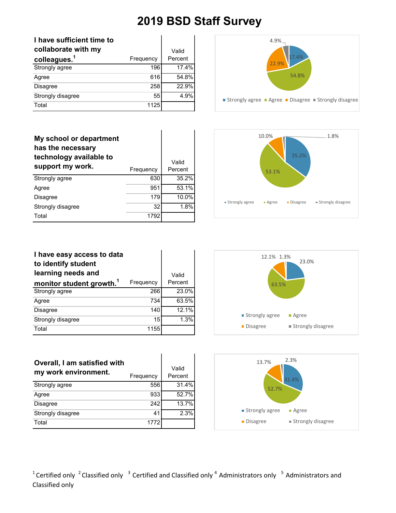| I have sufficient time to<br>collaborate with my |           | Valid   |
|--------------------------------------------------|-----------|---------|
| colleagues. <sup>1</sup>                         | Frequency | Percent |
| Strongly agree                                   | 196       | 17.4%   |
| Agree                                            | 616       | 54.8%   |
| <b>Disagree</b>                                  | 258       | 22.9%   |
| Strongly disagree                                | 55        | 4.9%    |
| Total                                            | 1125      |         |

| My school or department<br>has the necessary<br>technology available to<br>support my work. | Frequency | Valid<br>Percent |
|---------------------------------------------------------------------------------------------|-----------|------------------|
| Strongly agree                                                                              | 630       | 35.2%            |
| Agree                                                                                       | 951       | 53.1%            |
| <b>Disagree</b>                                                                             | 179       | 10.0%            |
| Strongly disagree                                                                           | 32        | 1.8%             |
| Total                                                                                       | 1792      |                  |





| I have easy access to data<br>to identify student |           |          |
|---------------------------------------------------|-----------|----------|
| learning needs and                                |           | Valid    |
| monitor student growth. <sup>1</sup>              | Frequency | Percent  |
| Strongly agree                                    | 266       | 23.0%    |
| Agree                                             | 734       | 63.5%    |
| <b>Disagree</b>                                   | 140       | $12.1\%$ |
| Strongly disagree                                 | 15        | 1.3%     |
| Total                                             | 1155      |          |



| Overall, I am satisfied with<br>my work environment. | Frequency | Valid<br>Percent |
|------------------------------------------------------|-----------|------------------|
| Strongly agree                                       | 556       | 31.4%            |
| Agree                                                | 933       | 52.7%            |
| <b>Disagree</b>                                      | 242       | 13.7%            |
| Strongly disagree                                    | 41        | 2.3%             |
| Total                                                | 1772      |                  |